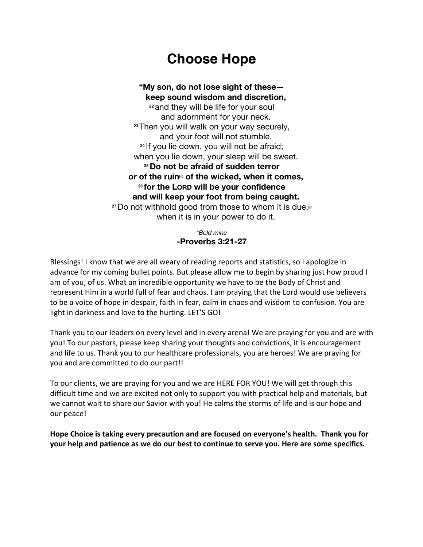# **Choose Hope**

### **"My son, do not lose sight of these keep sound wisdom and discretion, <sup>22</sup>** and they will be life for your soul and adornment for your neck. **<sup>23</sup>**Then you will walk on your way securely, and your foot will not stumble. **<sup>24</sup>** If you lie down, you will not be afraid; when you lie down, your sleep will be sweet. **<sup>25</sup>Do not be afraid of sudden terror or of the ruin[d] of the wicked, when it comes, <sup>26</sup> for the LORD will be your confidence and will keep your foot from being caught. 27** Do not withhold good from those to whom it is due,<sup>[6]</sup> when it is in your power to do it.

*\*Bold mine* **-Proverbs 3:21-27**

Blessings! I know that we are all weary of reading reports and statistics, so I apologize in advance for my coming bullet points. But please allow me to begin by sharing just how proud I am of you, of us. What an incredible opportunity we have to be the Body of Christ and represent Him in a world full of fear and chaos. I am praying that the Lord would use believers to be a voice of hope in despair, faith in fear, calm in chaos and wisdom to confusion. You are light in darkness and love to the hurting. LET'S GO!

Thank you to our leaders on every level and in every arena! We are praying for you and are with you! To our pastors, please keep sharing your thoughts and convictions, it is encouragement and life to us. Thank you to our healthcare professionals, you are heroes! We are praying for you and are committed to do our part!!

To our clients, we are praying for you and we are HERE FOR YOU! We will get through this difficult time and we are excited not only to support you with practical help and materials, but we cannot wait to share our Savior with you! He calms the storms of life and is our hope and our peace!

**Hope Choice is taking every precaution and are focused on everyone's health. Thank you for your help and patience as we do our best to continue to serve you. Here are some specifics.**